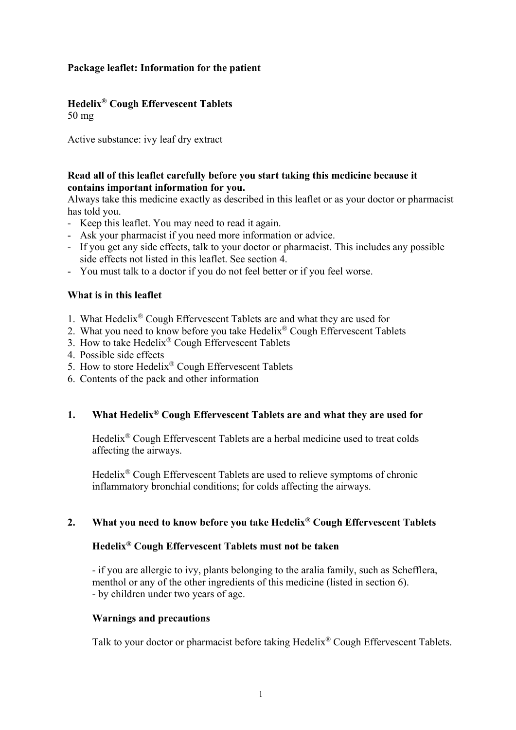# **Package leaflet: Information for the patient**

# **Hedelix® Cough Effervescent Tablets**

50 mg

Active substance: ivy leaf dry extract

# **Read all of this leaflet carefully before you start taking this medicine because it contains important information for you.**

Always take this medicine exactly as described in this leaflet or as your doctor or pharmacist has told you.

- Keep this leaflet. You may need to read it again.
- Ask your pharmacist if you need more information or advice.
- If you get any side effects, talk to your doctor or pharmacist. This includes any possible side effects not listed in this leaflet. See section 4.
- You must talk to a doctor if you do not feel better or if you feel worse.

## **What is in this leaflet**

- 1. What Hedelix® Cough Effervescent Tablets are and what they are used for
- 2. What you need to know before you take Hedelix<sup>®</sup> Cough Effervescent Tablets
- 3. How to take Hedelix® Cough Effervescent Tablets
- 4. Possible side effects
- 5. How to store Hedelix® Cough Effervescent Tablets
- 6. Contents of the pack and other information

# **1. What Hedelix® Cough Effervescent Tablets are and what they are used for**

Hedelix® Cough Effervescent Tablets are a herbal medicine used to treat colds affecting the airways.

Hedelix® Cough Effervescent Tablets are used to relieve symptoms of chronic inflammatory bronchial conditions; for colds affecting the airways.

## **2. What you need to know before you take Hedelix® Cough Effervescent Tablets**

# **Hedelix® Cough Effervescent Tablets must not be taken**

- if you are allergic to ivy, plants belonging to the aralia family, such as Schefflera, menthol or any of the other ingredients of this medicine (listed in section 6). - by children under two years of age.

## **Warnings and precautions**

Talk to your doctor or pharmacist before taking Hedelix® Cough Effervescent Tablets.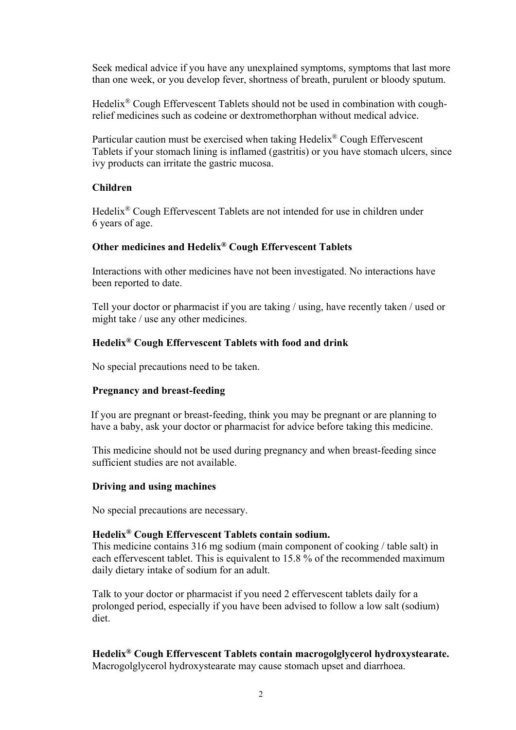Seek medical advice if you have any unexplained symptoms, symptoms that last more than one week, or you develop fever, shortness of breath, purulent or bloody sputum.

Hedelix® Cough Effervescent Tablets should not be used in combination with coughrelief medicines such as codeine or dextromethorphan without medical advice.

Particular caution must be exercised when taking Hedelix® Cough Effervescent Tablets if your stomach lining is inflamed (gastritis) or you have stomach ulcers, since ivy products can irritate the gastric mucosa.

## **Children**

Hedelix® Cough Effervescent Tablets are not intended for use in children under 6 years of age.

# **Other medicines and Hedelix® Cough Effervescent Tablets**

Interactions with other medicines have not been investigated. No interactions have been reported to date.

Tell your doctor or pharmacist if you are taking / using, have recently taken / used or might take / use any other medicines.

# **Hedelix® Cough Effervescent Tablets with food and drink**

No special precautions need to be taken.

## **Pregnancy and breast-feeding**

 If you are pregnant or breast-feeding, think you may be pregnant or are planning to have a baby, ask your doctor or pharmacist for advice before taking this medicine.

This medicine should not be used during pregnancy and when breast-feeding since sufficient studies are not available.

## **Driving and using machines**

No special precautions are necessary.

## **Hedelix® Cough Effervescent Tablets contain sodium.**

This medicine contains 316 mg sodium (main component of cooking / table salt) in each effervescent tablet. This is equivalent to 15.8 % of the recommended maximum daily dietary intake of sodium for an adult.

Talk to your doctor or pharmacist if you need 2 effervescent tablets daily for a prolonged period, especially if you have been advised to follow a low salt (sodium) diet.

**Hedelix® Cough Effervescent Tablets contain macrogolglycerol hydroxystearate.** Macrogolglycerol hydroxystearate may cause stomach upset and diarrhoea.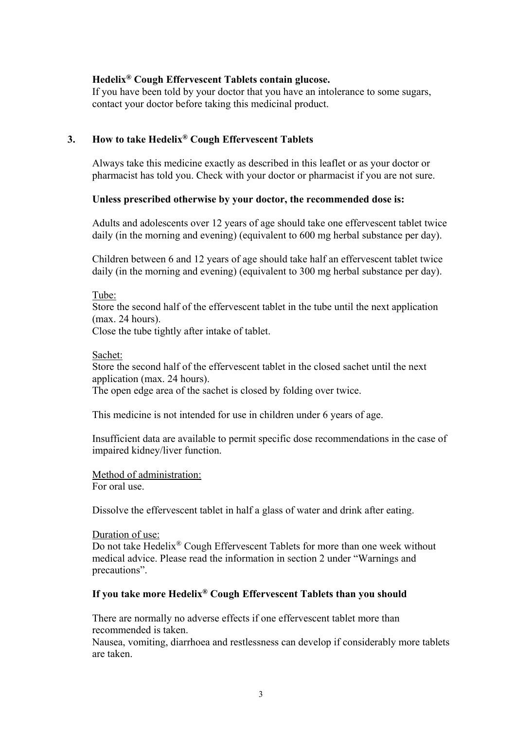## **Hedelix® Cough Effervescent Tablets contain glucose.**

 If you have been told by your doctor that you have an intolerance to some sugars, contact your doctor before taking this medicinal product.

## **3. How to take Hedelix® Cough Effervescent Tablets**

Always take this medicine exactly as described in this leaflet or as your doctor or pharmacist has told you. Check with your doctor or pharmacist if you are not sure.

## **Unless prescribed otherwise by your doctor, the recommended dose is:**

Adults and adolescents over 12 years of age should take one effervescent tablet twice daily (in the morning and evening) (equivalent to 600 mg herbal substance per day).

Children between 6 and 12 years of age should take half an effervescent tablet twice daily (in the morning and evening) (equivalent to 300 mg herbal substance per day).

## Tube:

 Store the second half of the effervescent tablet in the tube until the next application (max. 24 hours).

Close the tube tightly after intake of tablet.

#### Sachet:

Store the second half of the effervescent tablet in the closed sachet until the next application (max. 24 hours).

The open edge area of the sachet is closed by folding over twice.

This medicine is not intended for use in children under 6 years of age.

Insufficient data are available to permit specific dose recommendations in the case of impaired kidney/liver function.

Method of administration:

For oral use.

Dissolve the effervescent tablet in half a glass of water and drink after eating.

#### Duration of use:

Do not take Hedelix® Cough Effervescent Tablets for more than one week without medical advice. Please read the information in section 2 under "Warnings and precautions".

## **If you take more Hedelix® Cough Effervescent Tablets than you should**

There are normally no adverse effects if one effervescent tablet more than recommended is taken.

Nausea, vomiting, diarrhoea and restlessness can develop if considerably more tablets are taken.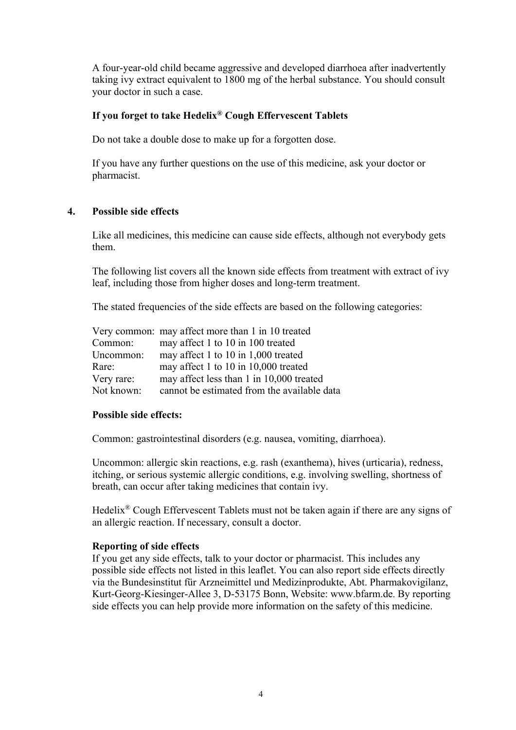A four-year-old child became aggressive and developed diarrhoea after inadvertently taking ivy extract equivalent to 1800 mg of the herbal substance. You should consult your doctor in such a case.

# **If you forget to take Hedelix® Cough Effervescent Tablets**

Do not take a double dose to make up for a forgotten dose.

If you have any further questions on the use of this medicine, ask your doctor or pharmacist.

# **4. Possible side effects**

Like all medicines, this medicine can cause side effects, although not everybody gets them.

The following list covers all the known side effects from treatment with extract of ivy leaf, including those from higher doses and long-term treatment.

The stated frequencies of the side effects are based on the following categories:

|            | Very common: may affect more than 1 in 10 treated |
|------------|---------------------------------------------------|
| Common:    | may affect 1 to 10 in 100 treated                 |
| Uncommon:  | may affect 1 to 10 in 1,000 treated               |
| Rare:      | may affect 1 to 10 in 10,000 treated              |
| Very rare: | may affect less than 1 in 10,000 treated          |
| Not known: | cannot be estimated from the available data       |

## **Possible side effects:**

Common: gastrointestinal disorders (e.g. nausea, vomiting, diarrhoea).

Uncommon: allergic skin reactions, e.g. rash (exanthema), hives (urticaria), redness, itching, or serious systemic allergic conditions, e.g. involving swelling, shortness of breath, can occur after taking medicines that contain ivy.

Hedelix® Cough Effervescent Tablets must not be taken again if there are any signs of an allergic reaction. If necessary, consult a doctor.

## **Reporting of side effects**

If you get any side effects, talk to your doctor or pharmacist. This includes any possible side effects not listed in this leaflet. You can also report side effects directly via the Bundesinstitut für Arzneimittel und Medizinprodukte, Abt. Pharmakovigilanz, Kurt-Georg-Kiesinger-Allee 3, D-53175 Bonn, Website: www.bfarm.de. By reporting side effects you can help provide more information on the safety of this medicine.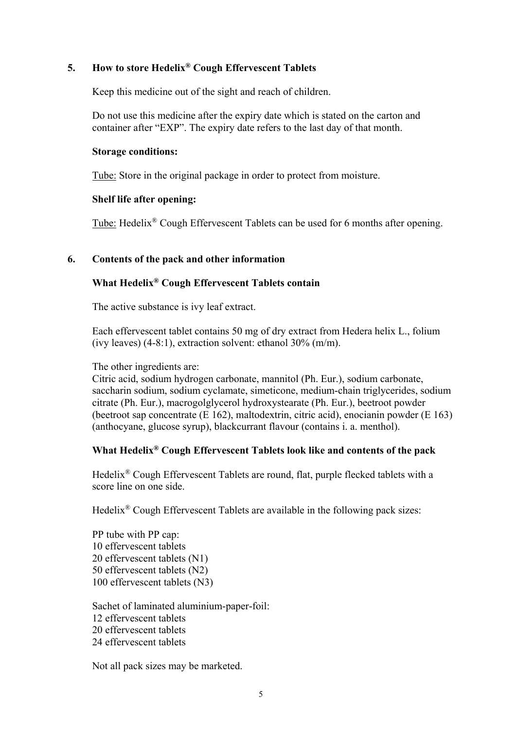# **5. How to store Hedelix® Cough Effervescent Tablets**

Keep this medicine out of the sight and reach of children.

Do not use this medicine after the expiry date which is stated on the carton and container after "EXP". The expiry date refers to the last day of that month.

#### **Storage conditions:**

Tube: Store in the original package in order to protect from moisture.

#### **Shelf life after opening:**

Tube: Hedelix® Cough Effervescent Tablets can be used for 6 months after opening.

#### **6. Contents of the pack and other information**

# **What Hedelix® Cough Effervescent Tablets contain**

The active substance is ivy leaf extract.

Each effervescent tablet contains 50 mg of dry extract from Hedera helix L., folium (ivy leaves)  $(4-8:1)$ , extraction solvent: ethanol  $30\%$  (m/m).

The other ingredients are:

Citric acid, sodium hydrogen carbonate, mannitol (Ph. Eur.), sodium carbonate, saccharin sodium, sodium cyclamate, simeticone, medium-chain triglycerides, sodium citrate (Ph. Eur.), macrogolglycerol hydroxystearate (Ph. Eur.), beetroot powder (beetroot sap concentrate (E 162), maltodextrin, citric acid), enocianin powder (E 163) (anthocyane, glucose syrup), blackcurrant flavour (contains i. a. menthol).

## **What Hedelix® Cough Effervescent Tablets look like and contents of the pack**

Hedelix® Cough Effervescent Tablets are round, flat, purple flecked tablets with a score line on one side.

Hedelix® Cough Effervescent Tablets are available in the following pack sizes:

PP tube with PP cap: 10 effervescent tablets 20 effervescent tablets (N1) 50 effervescent tablets (N2) 100 effervescent tablets (N3)

Sachet of laminated aluminium-paper-foil: 12 effervescent tablets 20 effervescent tablets 24 effervescent tablets

Not all pack sizes may be marketed.